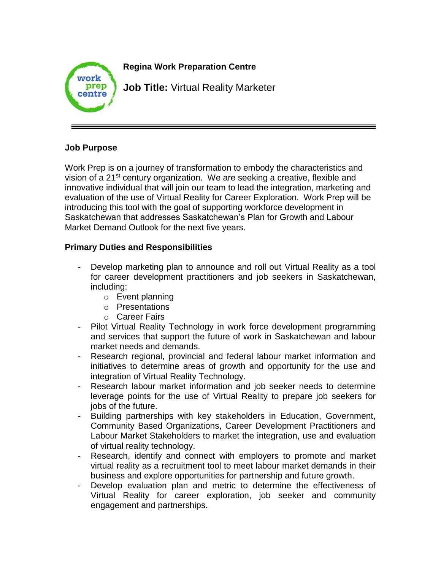

## **Job Purpose**

Work Prep is on a journey of transformation to embody the characteristics and vision of a 21<sup>st</sup> century organization. We are seeking a creative, flexible and innovative individual that will join our team to lead the integration, marketing and evaluation of the use of Virtual Reality for Career Exploration. Work Prep will be introducing this tool with the goal of supporting workforce development in Saskatchewan that addresses Saskatchewan's Plan for Growth and Labour Market Demand Outlook for the next five years.

## **Primary Duties and Responsibilities**

- Develop marketing plan to announce and roll out Virtual Reality as a tool for career development practitioners and job seekers in Saskatchewan, including:
	- o Event planning
	- o Presentations
	- o Career Fairs
- Pilot Virtual Reality Technology in work force development programming and services that support the future of work in Saskatchewan and labour market needs and demands.
- Research regional, provincial and federal labour market information and initiatives to determine areas of growth and opportunity for the use and integration of Virtual Reality Technology.
- Research labour market information and job seeker needs to determine leverage points for the use of Virtual Reality to prepare job seekers for jobs of the future.
- Building partnerships with key stakeholders in Education, Government, Community Based Organizations, Career Development Practitioners and Labour Market Stakeholders to market the integration, use and evaluation of virtual reality technology.
- Research, identify and connect with employers to promote and market virtual reality as a recruitment tool to meet labour market demands in their business and explore opportunities for partnership and future growth.
- Develop evaluation plan and metric to determine the effectiveness of Virtual Reality for career exploration, job seeker and community engagement and partnerships.